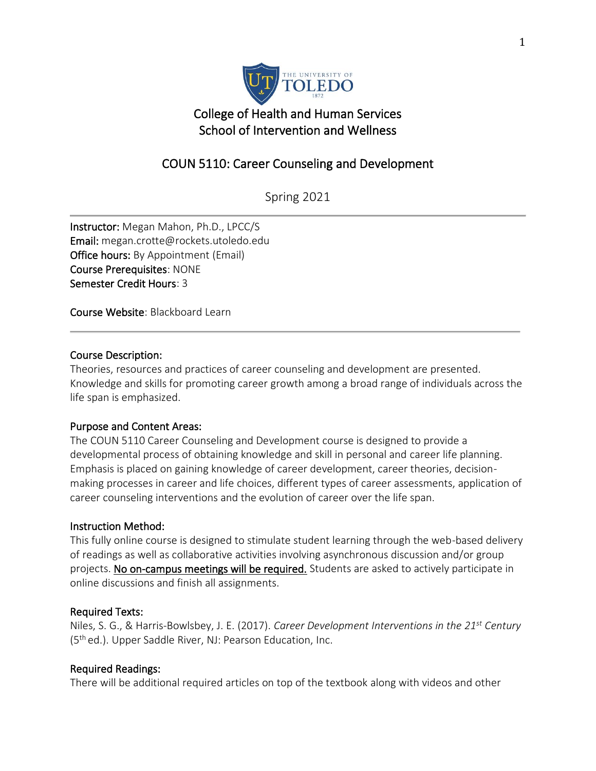

# College of Health and Human Services School of Intervention and Wellness

# COUN 5110: Career Counseling and Development

Spring 2021

Instructor: Megan Mahon, Ph.D., LPCC/S Email: megan.crotte@rockets.utoledo.edu Office hours: By Appointment (Email) Course Prerequisites: NONE Semester Credit Hours: 3

Course Website: Blackboard Learn

#### Course Description:

Theories, resources and practices of career counseling and development are presented. Knowledge and skills for promoting career growth among a broad range of individuals across the life span is emphasized.

#### Purpose and Content Areas:

The COUN 5110 Career Counseling and Development course is designed to provide a developmental process of obtaining knowledge and skill in personal and career life planning. Emphasis is placed on gaining knowledge of career development, career theories, decisionmaking processes in career and life choices, different types of career assessments, application of career counseling interventions and the evolution of career over the life span.

#### Instruction Method:

This fully online course is designed to stimulate student learning through the web-based delivery of readings as well as collaborative activities involving asynchronous discussion and/or group projects. No on-campus meetings will be required. Students are asked to actively participate in online discussions and finish all assignments.

#### Required Texts:

Niles, S. G., & Harris-Bowlsbey, J. E. (2017). *Career Development Interventions in the 21st Century* (5<sup>th</sup> ed.). Upper Saddle River, NJ: Pearson Education, Inc.

#### Required Readings:

There will be additional required articles on top of the textbook along with videos and other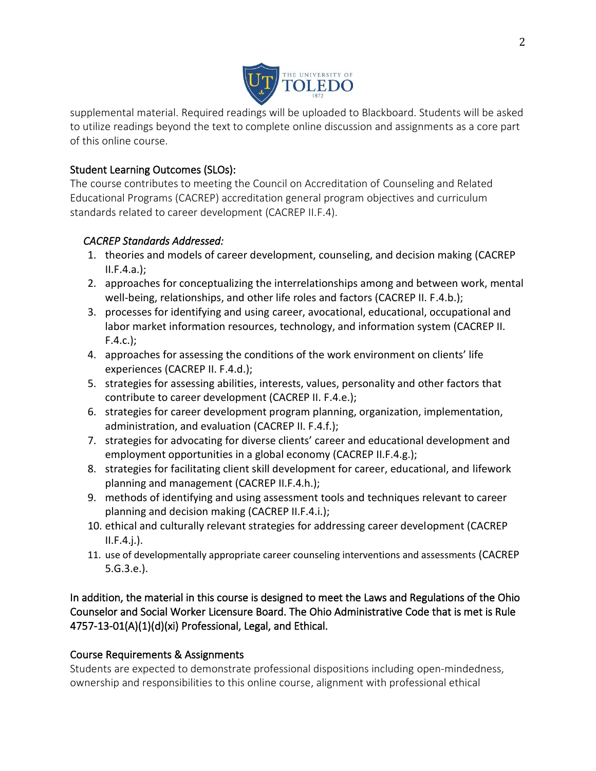

supplemental material. Required readings will be uploaded to Blackboard. Students will be asked to utilize readings beyond the text to complete online discussion and assignments as a core part of this online course.

## Student Learning Outcomes (SLOs):

The course contributes to meeting the Council on Accreditation of Counseling and Related Educational Programs (CACREP) accreditation general program objectives and curriculum standards related to career development (CACREP II.F.4).

## *CACREP Standards Addressed:*

- 1. theories and models of career development, counseling, and decision making (CACREP  $II.F.4.a.$ ):
- 2. approaches for conceptualizing the interrelationships among and between work, mental well-being, relationships, and other life roles and factors (CACREP II. F.4.b.);
- 3. processes for identifying and using career, avocational, educational, occupational and labor market information resources, technology, and information system (CACREP II. F.4.c.);
- 4. approaches for assessing the conditions of the work environment on clients' life experiences (CACREP II. F.4.d.);
- 5. strategies for assessing abilities, interests, values, personality and other factors that contribute to career development (CACREP II. F.4.e.);
- 6. strategies for career development program planning, organization, implementation, administration, and evaluation (CACREP II. F.4.f.);
- 7. strategies for advocating for diverse clients' career and educational development and employment opportunities in a global economy (CACREP II.F.4.g.);
- 8. strategies for facilitating client skill development for career, educational, and lifework planning and management (CACREP II.F.4.h.);
- 9. methods of identifying and using assessment tools and techniques relevant to career planning and decision making (CACREP II.F.4.i.);
- 10. ethical and culturally relevant strategies for addressing career development (CACREP  $II.F.4.$ j.).
- 11. use of developmentally appropriate career counseling interventions and assessments (CACREP 5.G.3.e.).

In addition, the material in this course is designed to meet the Laws and Regulations of the Ohio Counselor and Social Worker Licensure Board. The Ohio Administrative Code that is met is Rule 4757-13-01(A)(1)(d)(xi) Professional, Legal, and Ethical.

## Course Requirements & Assignments

Students are expected to demonstrate professional dispositions including open-mindedness, ownership and responsibilities to this online course, alignment with professional ethical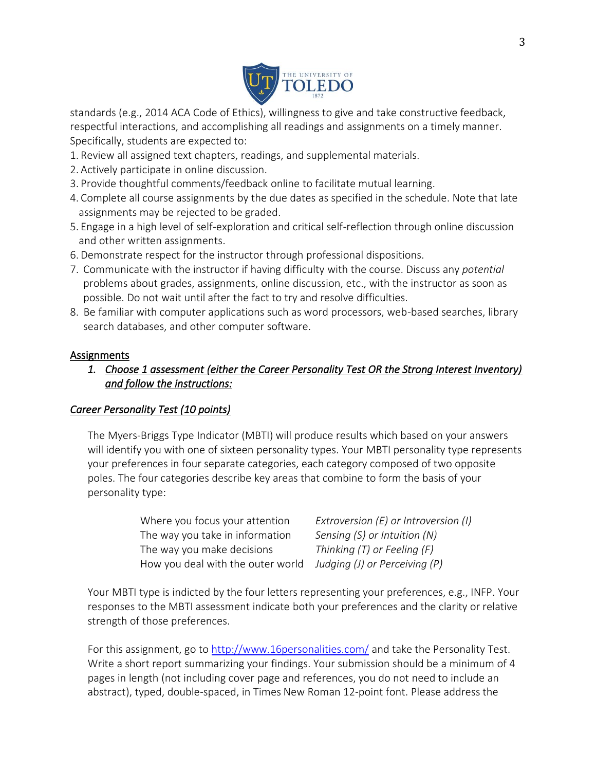

standards (e.g., 2014 ACA Code of Ethics), willingness to give and take constructive feedback, respectful interactions, and accomplishing all readings and assignments on a timely manner. Specifically, students are expected to:

- 1. Review all assigned text chapters, readings, and supplemental materials.
- 2. Actively participate in online discussion.
- 3. Provide thoughtful comments/feedback online to facilitate mutual learning.
- 4. Complete all course assignments by the due dates as specified in the schedule. Note that late assignments may be rejected to be graded.
- 5. Engage in a high level of self-exploration and critical self-reflection through online discussion and other written assignments.
- 6. Demonstrate respect for the instructor through professional dispositions.
- 7. Communicate with the instructor if having difficulty with the course. Discuss any *potential*  problems about grades, assignments, online discussion, etc., with the instructor as soon as possible. Do not wait until after the fact to try and resolve difficulties.
- 8. Be familiar with computer applications such as word processors, web-based searches, library search databases, and other computer software.

#### Assignments

*1. Choose 1 assessment (either the Career Personality Test OR the Strong Interest Inventory) and follow the instructions:* 

#### *Career Personality Test (10 points)*

The Myers-Briggs Type Indicator (MBTI) will produce results which based on your answers will identify you with one of sixteen personality types. Your MBTI personality type represents your preferences in four separate categories, each category composed of two opposite poles. The four categories describe key areas that combine to form the basis of your personality type:

| Where you focus your attention    | Extroversion (E) or Introversion (I) |
|-----------------------------------|--------------------------------------|
| The way you take in information   | Sensing (S) or Intuition (N)         |
| The way you make decisions        | Thinking $(T)$ or Feeling $(F)$      |
| How you deal with the outer world | Judging (J) or Perceiving (P)        |

Your MBTI type is indicted by the four letters representing your preferences, e.g., INFP. Your responses to the MBTI assessment indicate both your preferences and the clarity or relative strength of those preferences.

For this assignment, go to<http://www.16personalities.com/> and take the Personality Test. Write a short report summarizing your findings. Your submission should be a minimum of 4 pages in length (not including cover page and references, you do not need to include an abstract), typed, double-spaced, in Times New Roman 12-point font. Please address the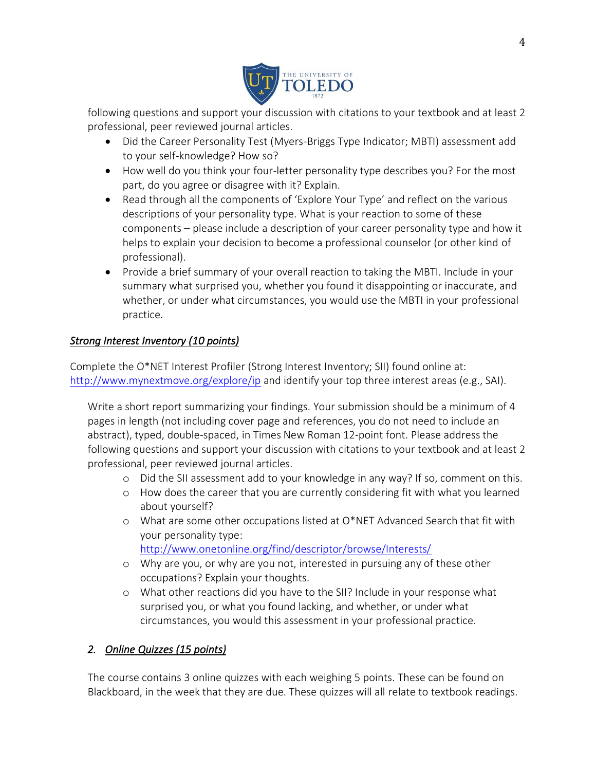

following questions and support your discussion with citations to your textbook and at least 2 professional, peer reviewed journal articles.

- Did the Career Personality Test (Myers-Briggs Type Indicator; MBTI) assessment add to your self-knowledge? How so?
- How well do you think your four-letter personality type describes you? For the most part, do you agree or disagree with it? Explain.
- Read through all the components of 'Explore Your Type' and reflect on the various descriptions of your personality type. What is your reaction to some of these components – please include a description of your career personality type and how it helps to explain your decision to become a professional counselor (or other kind of professional).
- Provide a brief summary of your overall reaction to taking the MBTI. Include in your summary what surprised you, whether you found it disappointing or inaccurate, and whether, or under what circumstances, you would use the MBTI in your professional practice.

## *Strong Interest Inventory (10 points)*

Complete the O\*NET Interest Profiler (Strong Interest Inventory; SII) found online at: <http://www.mynextmove.org/explore/ip> and identify your top three interest areas (e.g., SAI).

Write a short report summarizing your findings. Your submission should be a minimum of 4 pages in length (not including cover page and references, you do not need to include an abstract), typed, double-spaced, in Times New Roman 12-point font. Please address the following questions and support your discussion with citations to your textbook and at least 2 professional, peer reviewed journal articles.

- o Did the SII assessment add to your knowledge in any way? If so, comment on this.
- o How does the career that you are currently considering fit with what you learned about yourself?
- o What are some other occupations listed at O\*NET Advanced Search that fit with your personality type: <http://www.onetonline.org/find/descriptor/browse/Interests/>
- o Why are you, or why are you not, interested in pursuing any of these other occupations? Explain your thoughts.
- o What other reactions did you have to the SII? Include in your response what surprised you, or what you found lacking, and whether, or under what circumstances, you would this assessment in your professional practice.

## *2. Online Quizzes (15 points)*

The course contains 3 online quizzes with each weighing 5 points. These can be found on Blackboard, in the week that they are due. These quizzes will all relate to textbook readings.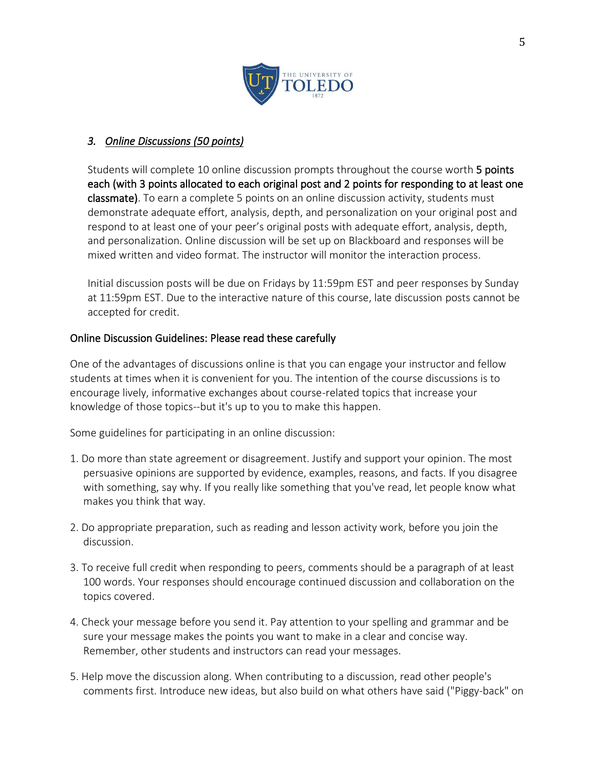

## *3. Online Discussions (50 points)*

Students will complete 10 online discussion prompts throughout the course worth 5 points each (with 3 points allocated to each original post and 2 points for responding to at least one classmate). To earn a complete 5 points on an online discussion activity, students must demonstrate adequate effort, analysis, depth, and personalization on your original post and respond to at least one of your peer's original posts with adequate effort, analysis, depth, and personalization. Online discussion will be set up on Blackboard and responses will be mixed written and video format. The instructor will monitor the interaction process.

Initial discussion posts will be due on Fridays by 11:59pm EST and peer responses by Sunday at 11:59pm EST. Due to the interactive nature of this course, late discussion posts cannot be accepted for credit.

#### Online Discussion Guidelines: Please read these carefully

One of the advantages of discussions online is that you can engage your instructor and fellow students at times when it is convenient for you. The intention of the course discussions is to encourage lively, informative exchanges about course-related topics that increase your knowledge of those topics--but it's up to you to make this happen.

Some guidelines for participating in an online discussion:

- 1. Do more than state agreement or disagreement. Justify and support your opinion. The most persuasive opinions are supported by evidence, examples, reasons, and facts. If you disagree with something, say why. If you really like something that you've read, let people know what makes you think that way.
- 2. Do appropriate preparation, such as reading and lesson activity work, before you join the discussion.
- 3. To receive full credit when responding to peers, comments should be a paragraph of at least 100 words. Your responses should encourage continued discussion and collaboration on the topics covered.
- 4. Check your message before you send it. Pay attention to your spelling and grammar and be sure your message makes the points you want to make in a clear and concise way. Remember, other students and instructors can read your messages.
- 5. Help move the discussion along. When contributing to a discussion, read other people's comments first. Introduce new ideas, but also build on what others have said ("Piggy-back" on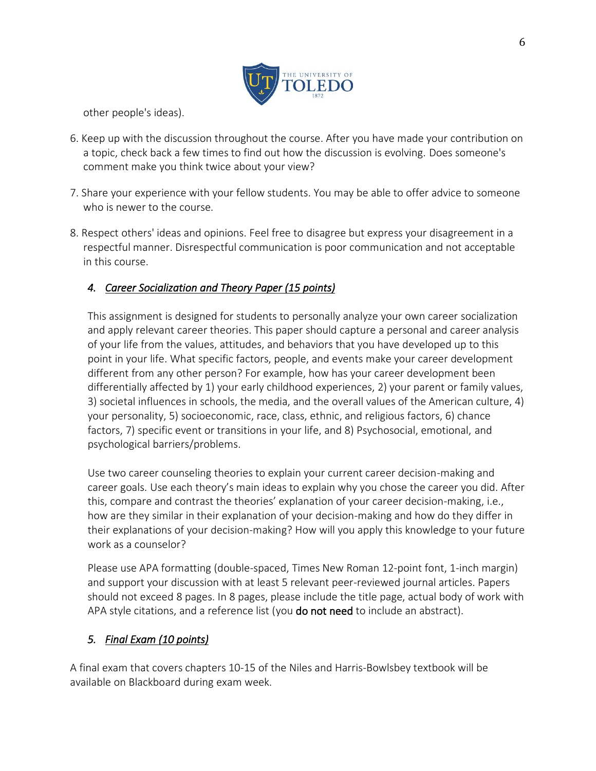

other people's ideas).

- 6. Keep up with the discussion throughout the course. After you have made your contribution on a topic, check back a few times to find out how the discussion is evolving. Does someone's comment make you think twice about your view?
- 7. Share your experience with your fellow students. You may be able to offer advice to someone who is newer to the course.
- 8. Respect others' ideas and opinions. Feel free to disagree but express your disagreement in a respectful manner. Disrespectful communication is poor communication and not acceptable in this course.

## *4. Career Socialization and Theory Paper (15 points)*

This assignment is designed for students to personally analyze your own career socialization and apply relevant career theories. This paper should capture a personal and career analysis of your life from the values, attitudes, and behaviors that you have developed up to this point in your life. What specific factors, people, and events make your career development different from any other person? For example, how has your career development been differentially affected by 1) your early childhood experiences, 2) your parent or family values, 3) societal influences in schools, the media, and the overall values of the American culture, 4) your personality, 5) socioeconomic, race, class, ethnic, and religious factors, 6) chance factors, 7) specific event or transitions in your life, and 8) Psychosocial, emotional, and psychological barriers/problems.

Use two career counseling theories to explain your current career decision-making and career goals. Use each theory's main ideas to explain why you chose the career you did. After this, compare and contrast the theories' explanation of your career decision-making, i.e., how are they similar in their explanation of your decision-making and how do they differ in their explanations of your decision-making? How will you apply this knowledge to your future work as a counselor?

Please use APA formatting (double-spaced, Times New Roman 12-point font, 1-inch margin) and support your discussion with at least 5 relevant peer-reviewed journal articles. Papers should not exceed 8 pages. In 8 pages, please include the title page, actual body of work with APA style citations, and a reference list (you **do not need** to include an abstract).

## *5. Final Exam (10 points)*

A final exam that covers chapters 10-15 of the Niles and Harris-Bowlsbey textbook will be available on Blackboard during exam week.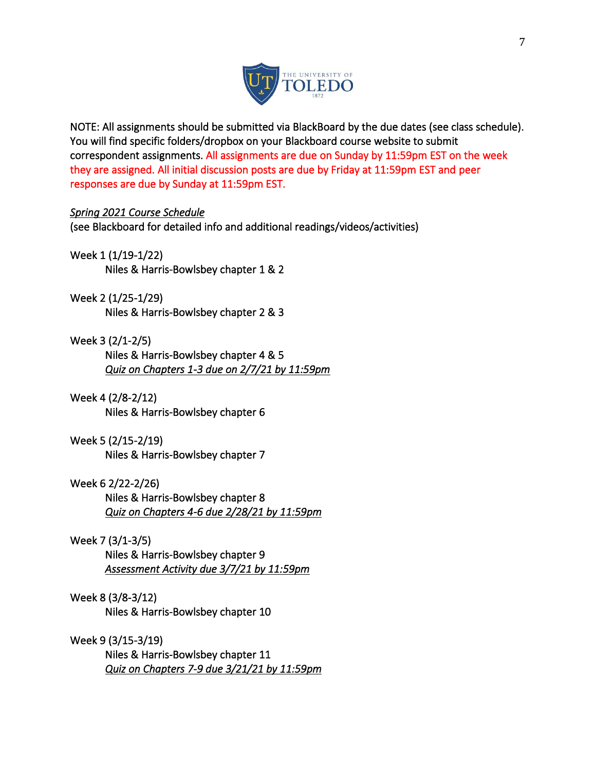

NOTE: All assignments should be submitted via BlackBoard by the due dates (see class schedule). You will find specific folders/dropbox on your Blackboard course website to submit correspondent assignments. All assignments are due on Sunday by 11:59pm EST on the week they are assigned. All initial discussion posts are due by Friday at 11:59pm EST and peer responses are due by Sunday at 11:59pm EST.

#### *Spring 2021 Course Schedule*

(see Blackboard for detailed info and additional readings/videos/activities)

#### Week 1 (1/19-1/22)

Niles & Harris-Bowlsbey chapter 1 & 2

#### Week 2 (1/25-1/29)

Niles & Harris-Bowlsbey chapter 2 & 3

#### Week 3 (2/1-2/5)

Niles & Harris-Bowlsbey chapter 4 & 5 *Quiz on Chapters 1-3 due on 2/7/21 by 11:59pm* 

#### Week 4 (2/8-2/12)

Niles & Harris-Bowlsbey chapter 6

#### Week 5 (2/15-2/19)

Niles & Harris-Bowlsbey chapter 7

#### Week 6 2/22-2/26)

 Niles & Harris-Bowlsbey chapter 8 *Quiz on Chapters 4-6 due 2/28/21 by 11:59pm* 

### Week 7 (3/1-3/5)

Niles & Harris-Bowlsbey chapter 9 *Assessment Activity due 3/7/21 by 11:59pm* 

#### Week 8 (3/8-3/12)

Niles & Harris-Bowlsbey chapter 10

#### Week 9 (3/15-3/19)

 Niles & Harris-Bowlsbey chapter 11 *Quiz on Chapters 7-9 due 3/21/21 by 11:59pm*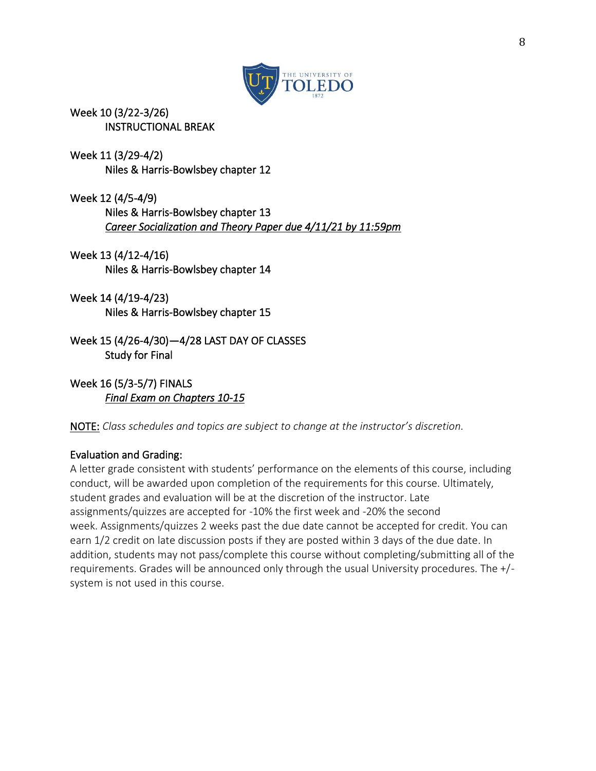

Week 10 (3/22-3/26) INSTRUCTIONAL BREAK

Week 11 (3/29-4/2) Niles & Harris-Bowlsbey chapter 12

Week 12 (4/5-4/9) Niles & Harris-Bowlsbey chapter 13 *Career Socialization and Theory Paper due 4/11/21 by 11:59pm*

Week 13 (4/12-4/16) Niles & Harris-Bowlsbey chapter 14

Week 14 (4/19-4/23) Niles & Harris-Bowlsbey chapter 15

Week 15 (4/26-4/30)—4/28 LAST DAY OF CLASSES Study for Final

Week 16 (5/3-5/7) FINALS *Final Exam on Chapters 10-15* 

NOTE: *Class schedules and topics are subject to change at the instructor's discretion.*

## Evaluation and Grading:

A letter grade consistent with students' performance on the elements of this course, including conduct, will be awarded upon completion of the requirements for this course. Ultimately, student grades and evaluation will be at the discretion of the instructor. Late assignments/quizzes are accepted for -10% the first week and -20% the second week. Assignments/quizzes 2 weeks past the due date cannot be accepted for credit. You can earn 1/2 credit on late discussion posts if they are posted within 3 days of the due date. In addition, students may not pass/complete this course without completing/submitting all of the requirements. Grades will be announced only through the usual University procedures. The +/ system is not used in this course.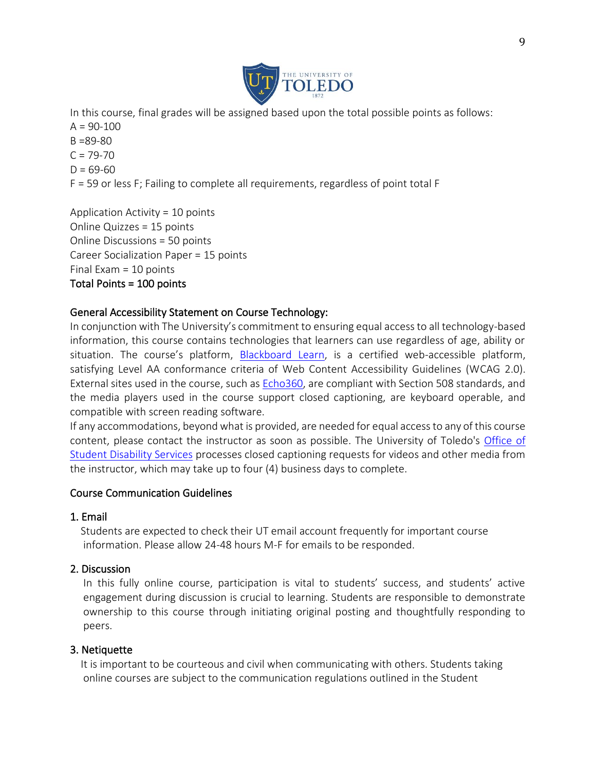

In this course, final grades will be assigned based upon the total possible points as follows:  $A = 90 - 100$  $B = 89 - 80$  $C = 79 - 70$  $D = 69-60$ F = 59 or less F; Failing to complete all requirements, regardless of point total F

Application Activity = 10 points Online Quizzes = 15 points Online Discussions = 50 points Career Socialization Paper = 15 points Final Exam = 10 points Total Points = 100 points

## General Accessibility Statement on Course Technology:

In conjunction with The University's commitment to ensuring equal access to all technology-based information, this course contains technologies that learners can use regardless of age, ability or situation. The course's platform, [Blackboard Learn,](http://www.blackboard.com/Platforms/Learn/Resources/Accessibility.aspx) is a certified web-accessible platform, satisfying Level AA conformance criteria of Web Content Accessibility Guidelines (WCAG 2.0). External sites used in the course, such as [Echo360,](http://echo360.com/press-release/echo360-earns-vpat-federal-government-section-508-accessibility-standard-credentialing) are compliant with Section 508 standards, and the media players used in the course support closed captioning, are keyboard operable, and compatible with screen reading software.

If any accommodations, beyond what is provided, are needed for equal access to any of this course content, please contact the instructor as soon as possible. The University of Toledo's [Office of](http://www.utoledo.edu/offices/student-disability-services/)  [Student Disability Services](http://www.utoledo.edu/offices/student-disability-services/) processes closed captioning requests for videos and other media from the instructor, which may take up to four (4) business days to complete.

## Course Communication Guidelines

#### 1. Email

 Students are expected to check their UT email account frequently for important course information. Please allow 24-48 hours M-F for emails to be responded.

## 2. Discussion

In this fully online course, participation is vital to students' success, and students' active engagement during discussion is crucial to learning. Students are responsible to demonstrate ownership to this course through initiating original posting and thoughtfully responding to peers.

## 3. Netiquette

 It is important to be courteous and civil when communicating with others. Students taking online courses are subject to the communication regulations outlined in the Student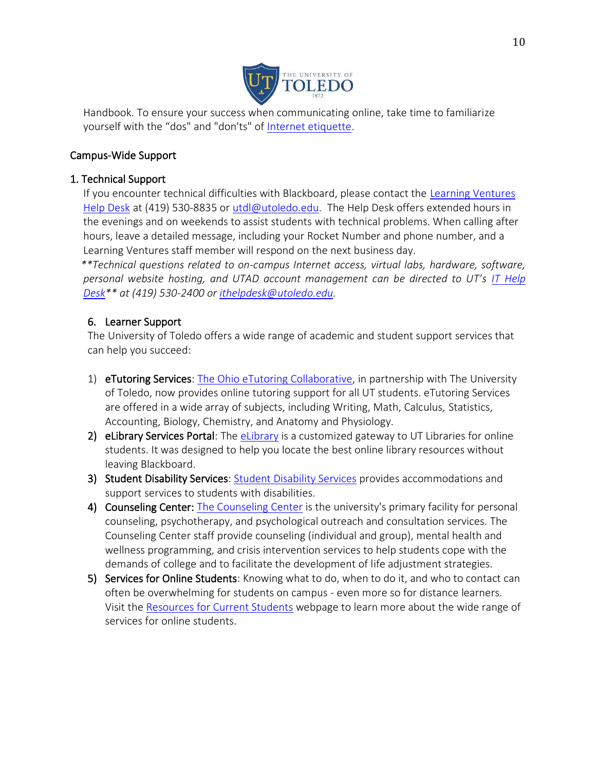

Handbook. To ensure your success when communicating online, take time to familiarize yourself with the "dos" and "don'ts" of [Internet etiquette.](http://www.albion.com/netiquette)

## Campus-Wide Support

### 1. Technical Support

 If you encounter technical difficulties with Blackboard, please contact the [Learning Ventures](http://www.utoledo.edu/dl/helpdesk/index.html)  [Help Desk](http://www.utoledo.edu/dl/helpdesk/index.html) at (419) 530-8835 or [utdl@utoledo.edu.](mailto:utdl@utoledo.edu) The Help Desk offers extended hours in the evenings and on weekends to assist students with technical problems. When calling after hours, leave a detailed message, including your Rocket Number and phone number, and a Learning Ventures staff member will respond on the next business day.

 *\*\*Technical questions related to on-campus Internet access, virtual labs, hardware, software, personal website hosting, and UTAD account management can be directed to UT's IT Help [Desk\\*](http://www.utoledo.edu/it/CS/HelpDesk.html)\* at (419) 530-2400 or [ithelpdesk@utoledo.edu.](mailto:ithelpdesk@utoledo.edu)*

#### 6. Learner Support

The University of Toledo offers a wide range of academic and student support services that can help you succeed:

- 1) eTutoring Services[: The Ohio eTutoring Collaborative,](https://www.etutoring.org/login.cfm?institutionid=232&returnPage) in partnership with The University of Toledo, now provides online tutoring support for all UT students. eTutoring Services are offered in a wide array of subjects, including Writing, Math, Calculus, Statistics, Accounting, Biology, Chemistry, and Anatomy and Physiology.
- 2) [eLibrary](http://www.utoledo.edu/dl/students/elibrary.html) Services Portal: The eLibrary is a customized gateway to UT Libraries for online students. It was designed to help you locate the best online library resources without leaving Blackboard.
- 3) Student Disability Services: [Student Disability Services](http://www.utoledo.edu/offices/student-disability-services/index.html) provides accommodations and support services to students with disabilities.
- 4) Counseling Center: [The Counseling Center](http://www.utoledo.edu/studentaffairs/counseling/) is the university's primary facility for personal counseling, psychotherapy, and psychological outreach and consultation services. The Counseling Center staff provide counseling (individual and group), mental health and wellness programming, and crisis intervention services to help students cope with the demands of college and to facilitate the development of life adjustment strategies.
- 5) Services for Online Students: Knowing what to do, when to do it, and who to contact can often be overwhelming for students on campus - even more so for distance learners. Visit the [Resources for Current Students](http://www.utoledo.edu/dl/students/student_serv.html) webpage to learn more about the wide range of services for online students.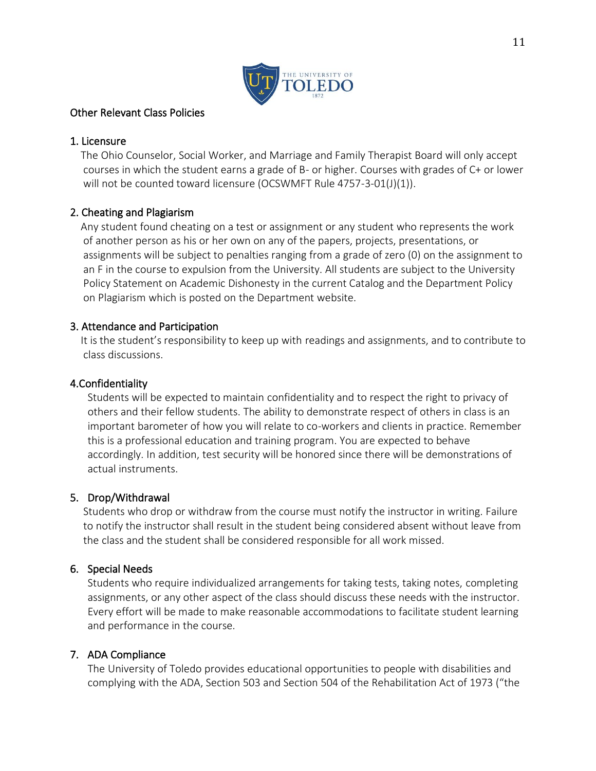

### Other Relevant Class Policies

#### 1. Licensure

 The Ohio Counselor, Social Worker, and Marriage and Family Therapist Board will only accept courses in which the student earns a grade of B- or higher. Courses with grades of C+ or lower will not be counted toward licensure (OCSWMFT Rule 4757-3-01(J)(1)).

## 2. Cheating and Plagiarism

 Any student found cheating on a test or assignment or any student who represents the work of another person as his or her own on any of the papers, projects, presentations, or assignments will be subject to penalties ranging from a grade of zero (0) on the assignment to an F in the course to expulsion from the University. All students are subject to the University Policy Statement on Academic Dishonesty in the current Catalog and the Department Policy on Plagiarism which is posted on the Department website.

#### 3. Attendance and Participation

 It is the student's responsibility to keep up with readings and assignments, and to contribute to class discussions.

#### 4.Confidentiality

Students will be expected to maintain confidentiality and to respect the right to privacy of others and their fellow students. The ability to demonstrate respect of others in class is an important barometer of how you will relate to co-workers and clients in practice. Remember this is a professional education and training program. You are expected to behave accordingly. In addition, test security will be honored since there will be demonstrations of actual instruments.

## 5. Drop/Withdrawal

Students who drop or withdraw from the course must notify the instructor in writing. Failure to notify the instructor shall result in the student being considered absent without leave from the class and the student shall be considered responsible for all work missed.

#### 6. Special Needs

Students who require individualized arrangements for taking tests, taking notes, completing assignments, or any other aspect of the class should discuss these needs with the instructor. Every effort will be made to make reasonable accommodations to facilitate student learning and performance in the course.

## 7. ADA Compliance

The University of Toledo provides educational opportunities to people with disabilities and complying with the ADA, Section 503 and Section 504 of the Rehabilitation Act of 1973 ("the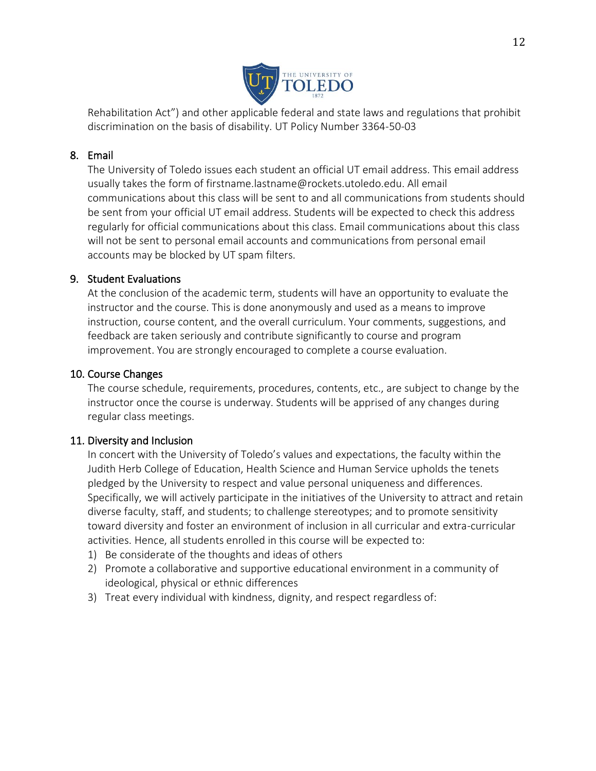

Rehabilitation Act") and other applicable federal and state laws and regulations that prohibit discrimination on the basis of disability. UT Policy Number 3364-50-03

### 8. Email

The University of Toledo issues each student an official UT email address. This email address usually takes the form of firstname.lastname@rockets.utoledo.edu. All email communications about this class will be sent to and all communications from students should be sent from your official UT email address. Students will be expected to check this address regularly for official communications about this class. Email communications about this class will not be sent to personal email accounts and communications from personal email accounts may be blocked by UT spam filters.

#### 9. Student Evaluations

At the conclusion of the academic term, students will have an opportunity to evaluate the instructor and the course. This is done anonymously and used as a means to improve instruction, course content, and the overall curriculum. Your comments, suggestions, and feedback are taken seriously and contribute significantly to course and program improvement. You are strongly encouraged to complete a course evaluation.

#### 10. Course Changes

The course schedule, requirements, procedures, contents, etc., are subject to change by the instructor once the course is underway. Students will be apprised of any changes during regular class meetings.

## 11. Diversity and Inclusion

In concert with the University of Toledo's values and expectations, the faculty within the Judith Herb College of Education, Health Science and Human Service upholds the tenets pledged by the University to respect and value personal uniqueness and differences. Specifically, we will actively participate in the initiatives of the University to attract and retain diverse faculty, staff, and students; to challenge stereotypes; and to promote sensitivity toward diversity and foster an environment of inclusion in all curricular and extra-curricular activities. Hence, all students enrolled in this course will be expected to:

- 1) Be considerate of the thoughts and ideas of others
- 2) Promote a collaborative and supportive educational environment in a community of ideological, physical or ethnic differences
- 3) Treat every individual with kindness, dignity, and respect regardless of: